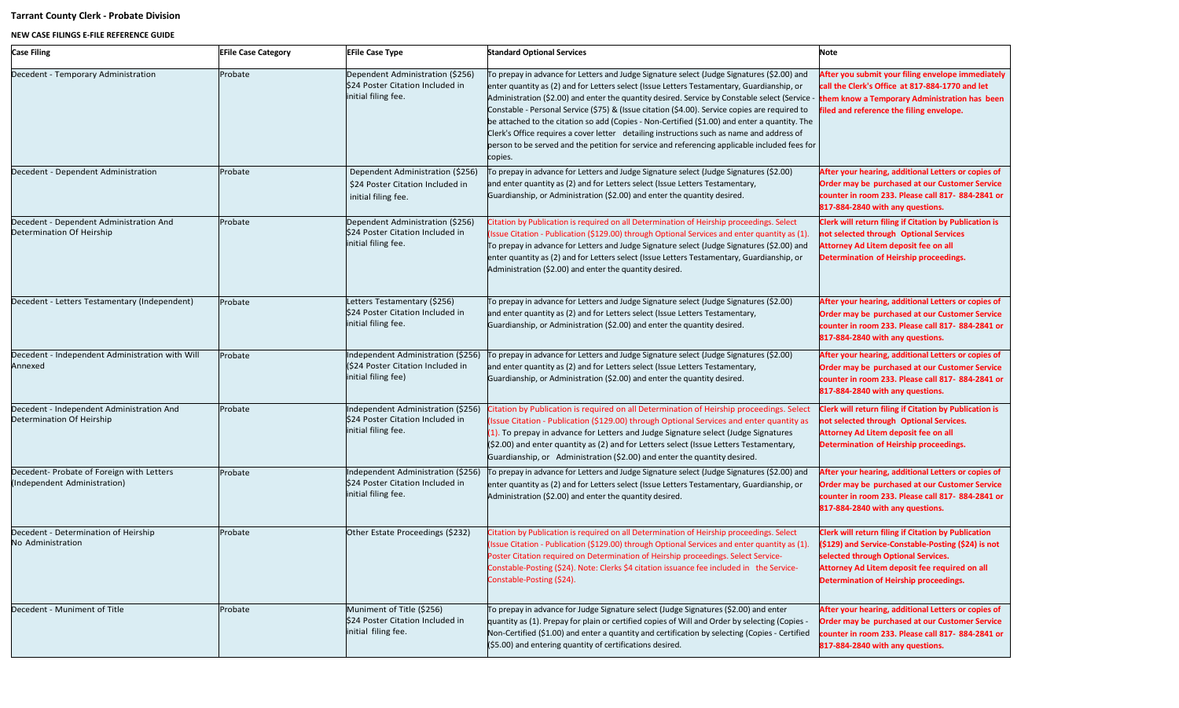## **Tarrant County Clerk - Probate Division**

## **NEW CASE FILINGS E-FILE REFERENCE GUIDE**

| <b>Case Filing</b>                                                        | <b>EFile Case Category</b> | <b>EFile Case Type</b>                                                                         | <b>Standard Optional Services</b>                                                                                                                                                                                                                                                                                                                                                                                                                                                                                                                                                                                                                                                                      | Note                                                                                                                                                                                                                                                       |
|---------------------------------------------------------------------------|----------------------------|------------------------------------------------------------------------------------------------|--------------------------------------------------------------------------------------------------------------------------------------------------------------------------------------------------------------------------------------------------------------------------------------------------------------------------------------------------------------------------------------------------------------------------------------------------------------------------------------------------------------------------------------------------------------------------------------------------------------------------------------------------------------------------------------------------------|------------------------------------------------------------------------------------------------------------------------------------------------------------------------------------------------------------------------------------------------------------|
| Decedent - Temporary Administration                                       | Probate                    | Dependent Administration (\$256)<br>\$24 Poster Citation Included in<br>initial filing fee.    | To prepay in advance for Letters and Judge Signature select (Judge Signatures (\$2.00) and<br>enter quantity as (2) and for Letters select (Issue Letters Testamentary, Guardianship, or<br>Administration (\$2.00) and enter the quantity desired. Service by Constable select (Service -<br>Constable - Personal Service (\$75) & (Issue citation (\$4.00). Service copies are required to<br>be attached to the citation so add (Copies - Non-Certified (\$1.00) and enter a quantity. The<br>Clerk's Office requires a cover letter detailing instructions such as name and address of<br>person to be served and the petition for service and referencing applicable included fees for<br>copies. | After you submit your filing envelope immediately<br>call the Clerk's Office at 817-884-1770 and let<br>them know a Temporary Administration has been<br>filed and reference the filing envelope.                                                          |
| Decedent - Dependent Administration                                       | Probate                    | Dependent Administration (\$256)<br>\$24 Poster Citation Included in<br>initial filing fee.    | To prepay in advance for Letters and Judge Signature select (Judge Signatures (\$2.00)<br>and enter quantity as (2) and for Letters select (Issue Letters Testamentary,<br>Guardianship, or Administration (\$2.00) and enter the quantity desired.                                                                                                                                                                                                                                                                                                                                                                                                                                                    | After your hearing, additional Letters or copies of<br>Order may be purchased at our Customer Service<br>counter in room 233. Please call 817-884-2841 or<br>817-884-2840 with any questions.                                                              |
| Decedent - Dependent Administration And<br>Determination Of Heirship      | Probate                    | Dependent Administration (\$256)<br>\$24 Poster Citation Included in<br>initial filing fee.    | Citation by Publication is required on all Determination of Heirship proceedings. Select<br>(Issue Citation - Publication (\$129.00) through Optional Services and enter quantity as (1).<br>To prepay in advance for Letters and Judge Signature select (Judge Signatures (\$2.00) and<br>enter quantity as (2) and for Letters select (Issue Letters Testamentary, Guardianship, or<br>Administration (\$2.00) and enter the quantity desired.                                                                                                                                                                                                                                                       | <b>Clerk will return filing if Citation by Publication is</b><br>not selected through Optional Services<br><b>Attorney Ad Litem deposit fee on all</b><br>Determination of Heirship proceedings.                                                           |
| Decedent - Letters Testamentary (Independent)                             | Probate                    | Letters Testamentary (\$256)<br>\$24 Poster Citation Included in<br>initial filing fee.        | To prepay in advance for Letters and Judge Signature select (Judge Signatures (\$2.00)<br>and enter quantity as (2) and for Letters select (Issue Letters Testamentary,<br>Guardianship, or Administration (\$2.00) and enter the quantity desired.                                                                                                                                                                                                                                                                                                                                                                                                                                                    | After your hearing, additional Letters or copies of<br>Order may be purchased at our Customer Service<br>counter in room 233. Please call 817-884-2841 or<br>817-884-2840 with any questions.                                                              |
| Decedent - Independent Administration with Will<br>Annexed                | Probate                    | Independent Administration (\$256)<br>(\$24 Poster Citation Included in<br>initial filing fee) | To prepay in advance for Letters and Judge Signature select (Judge Signatures (\$2.00)<br>and enter quantity as (2) and for Letters select (Issue Letters Testamentary,<br>Guardianship, or Administration (\$2.00) and enter the quantity desired.                                                                                                                                                                                                                                                                                                                                                                                                                                                    | After your hearing, additional Letters or copies of<br>Order may be purchased at our Customer Service<br>counter in room 233. Please call 817-884-2841 or<br>817-884-2840 with any questions.                                                              |
| Decedent - Independent Administration And<br>Determination Of Heirship    | Probate                    | Independent Administration (\$256)<br>\$24 Poster Citation Included in<br>initial filing fee.  | Citation by Publication is required on all Determination of Heirship proceedings. Select<br>(Issue Citation - Publication (\$129.00) through Optional Services and enter quantity as<br>$(1)$ . To prepay in advance for Letters and Judge Signature select (Judge Signatures<br>$(S2.00)$ and enter quantity as (2) and for Letters select (Issue Letters Testamentary,<br>Guardianship, or Administration (\$2.00) and enter the quantity desired.                                                                                                                                                                                                                                                   | <b>Clerk will return filing if Citation by Publication is</b><br>not selected through Optional Services.<br>Attorney Ad Litem deposit fee on all<br>Determination of Heirship proceedings.                                                                 |
| Decedent- Probate of Foreign with Letters<br>(Independent Administration) | Probate                    | Independent Administration (\$256)<br>\$24 Poster Citation Included in<br>initial filing fee.  | To prepay in advance for Letters and Judge Signature select (Judge Signatures (\$2.00) and<br>enter quantity as (2) and for Letters select (Issue Letters Testamentary, Guardianship, or<br>Administration (\$2.00) and enter the quantity desired.                                                                                                                                                                                                                                                                                                                                                                                                                                                    | After your hearing, additional Letters or copies of<br>Order may be purchased at our Customer Service<br>counter in room 233. Please call 817-884-2841 or<br>817-884-2840 with any questions.                                                              |
| Decedent - Determination of Heirship<br>No Administration                 | Probate                    | Other Estate Proceedings (\$232)                                                               | Citation by Publication is required on all Determination of Heirship proceedings. Select<br>(Issue Citation - Publication (\$129.00) through Optional Services and enter quantity as (1).<br>Poster Citation required on Determination of Heirship proceedings. Select Service-<br>Constable-Posting (\$24). Note: Clerks \$4 citation issuance fee included in the Service-<br>Constable-Posting (\$24).                                                                                                                                                                                                                                                                                              | <b>Clerk will return filing if Citation by Publication</b><br>(\$129) and Service-Constable-Posting (\$24) is not<br>selected through Optional Services.<br>Attorney Ad Litem deposit fee required on all<br><b>Determination of Heirship proceedings.</b> |
| Decedent - Muniment of Title                                              | Probate                    | Muniment of Title (\$256)<br>\$24 Poster Citation Included in<br>initial filing fee.           | To prepay in advance for Judge Signature select (Judge Signatures (\$2.00) and enter<br>quantity as (1). Prepay for plain or certified copies of Will and Order by selecting (Copies -<br>Non-Certified (\$1.00) and enter a quantity and certification by selecting (Copies - Certified<br>$(\text{\$5.00})$ and entering quantity of certifications desired.                                                                                                                                                                                                                                                                                                                                         | After your hearing, additional Letters or copies of<br>Order may be purchased at our Customer Service<br>counter in room 233. Please call 817-884-2841 or<br>817-884-2840 with any questions.                                                              |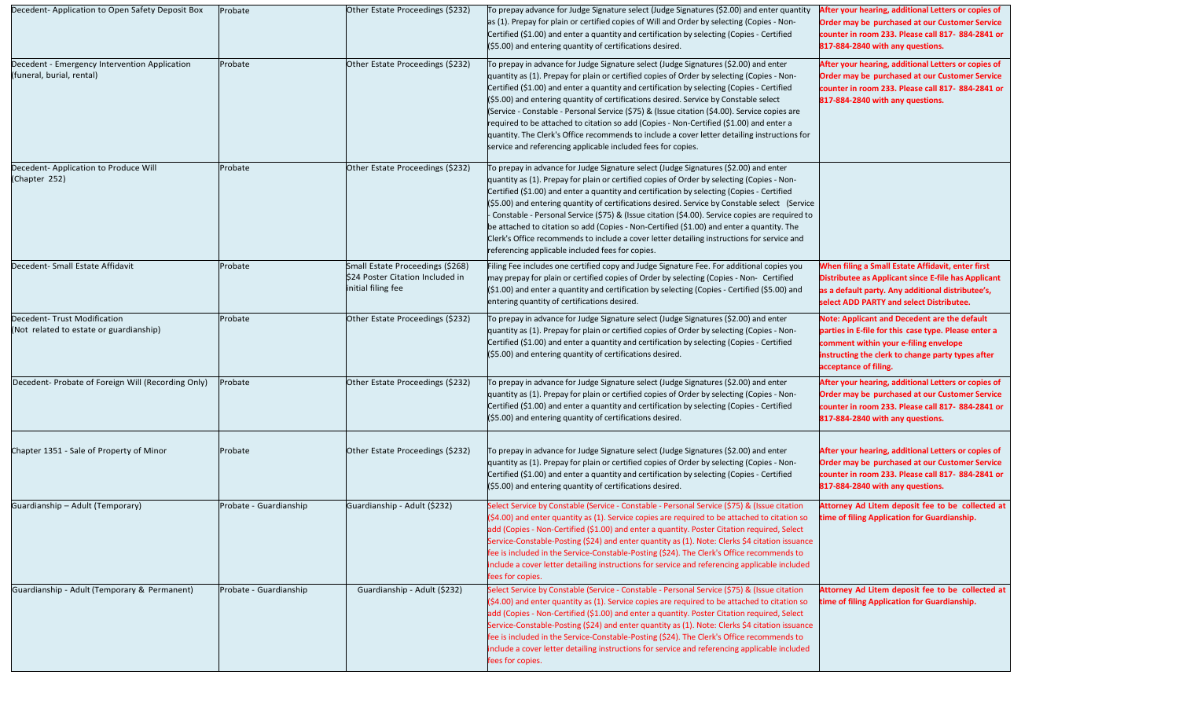| Decedent-Application to Open Safety Deposit Box                            | Probate                | Other Estate Proceedings (\$232)                                                           | To prepay advance for Judge Signature select (Judge Signatures (\$2.00) and enter quantity<br>as (1). Prepay for plain or certified copies of Will and Order by selecting (Copies - Non-<br>Certified (\$1.00) and enter a quantity and certification by selecting (Copies - Certified<br>$(S5.00)$ and entering quantity of certifications desired.                                                                                                                                                                                                                                                                                                                                                                                   | After your hearing, additional Letters or copies of<br>Order may be purchased at our Customer Service<br>counter in room 233. Please call 817-884-2841 or<br>817-884-2840 with any questions.                                      |
|----------------------------------------------------------------------------|------------------------|--------------------------------------------------------------------------------------------|----------------------------------------------------------------------------------------------------------------------------------------------------------------------------------------------------------------------------------------------------------------------------------------------------------------------------------------------------------------------------------------------------------------------------------------------------------------------------------------------------------------------------------------------------------------------------------------------------------------------------------------------------------------------------------------------------------------------------------------|------------------------------------------------------------------------------------------------------------------------------------------------------------------------------------------------------------------------------------|
| Decedent - Emergency Intervention Application<br>(funeral, burial, rental) | Probate                | Other Estate Proceedings (\$232)                                                           | To prepay in advance for Judge Signature select (Judge Signatures (\$2.00) and enter<br>quantity as (1). Prepay for plain or certified copies of Order by selecting (Copies - Non-<br>Certified (\$1.00) and enter a quantity and certification by selecting (Copies - Certified<br>$(S5.00)$ and entering quantity of certifications desired. Service by Constable select<br>(Service - Constable - Personal Service (\$75) & (Issue citation (\$4.00). Service copies are<br>required to be attached to citation so add (Copies - Non-Certified (\$1.00) and enter a<br>quantity. The Clerk's Office recommends to include a cover letter detailing instructions for<br>service and referencing applicable included fees for copies. | After your hearing, additional Letters or copies of<br>Order may be purchased at our Customer Service<br>counter in room 233. Please call 817-884-2841 or<br>817-884-2840 with any questions.                                      |
| Decedent-Application to Produce Will<br>(Chapter 252)                      | Probate                | Other Estate Proceedings (\$232)                                                           | To prepay in advance for Judge Signature select (Judge Signatures (\$2.00) and enter<br>quantity as (1). Prepay for plain or certified copies of Order by selecting (Copies - Non-<br>Certified (\$1.00) and enter a quantity and certification by selecting (Copies - Certified<br>$(S5.00)$ and entering quantity of certifications desired. Service by Constable select (Service<br>- Constable - Personal Service (\$75) & (Issue citation (\$4.00). Service copies are required to<br>be attached to citation so add (Copies - Non-Certified (\$1.00) and enter a quantity. The<br>Clerk's Office recommends to include a cover letter detailing instructions for service and<br>referencing applicable included fees for copies. |                                                                                                                                                                                                                                    |
| Decedent- Small Estate Affidavit                                           | Probate                | Small Estate Proceedings (\$268)<br>\$24 Poster Citation Included in<br>initial filing fee | Filing Fee includes one certified copy and Judge Signature Fee. For additional copies you<br>may prepay for plain or certified copies of Order by selecting (Copies - Non- Certified<br>(\$1.00) and enter a quantity and certification by selecting (Copies - Certified (\$5.00) and<br>entering quantity of certifications desired.                                                                                                                                                                                                                                                                                                                                                                                                  | When filing a Small Estate Affidavit, enter first<br>Distributee as Applicant since E-file has Applicant<br>as a default party. Any additional distributee's,<br>select ADD PARTY and select Distributee.                          |
| Decedent- Trust Modification<br>(Not related to estate or guardianship)    | Probate                | Other Estate Proceedings (\$232)                                                           | To prepay in advance for Judge Signature select (Judge Signatures (\$2.00) and enter<br>quantity as (1). Prepay for plain or certified copies of Order by selecting (Copies - Non-<br>Certified (\$1.00) and enter a quantity and certification by selecting (Copies - Certified<br>$(55.00)$ and entering quantity of certifications desired.                                                                                                                                                                                                                                                                                                                                                                                         | <b>Note: Applicant and Decedent are the default</b><br>parties in E-file for this case type. Please enter a<br>comment within your e-filing envelope<br>instructing the clerk to change party types after<br>acceptance of filing. |
| Decedent- Probate of Foreign Will (Recording Only)                         | Probate                | Other Estate Proceedings (\$232)                                                           | To prepay in advance for Judge Signature select (Judge Signatures (\$2.00) and enter<br>quantity as (1). Prepay for plain or certified copies of Order by selecting (Copies - Non-<br>Certified (\$1.00) and enter a quantity and certification by selecting (Copies - Certified<br>(\$5.00) and entering quantity of certifications desired.                                                                                                                                                                                                                                                                                                                                                                                          | After your hearing, additional Letters or copies of<br>Order may be purchased at our Customer Service<br>counter in room 233. Please call 817-884-2841 or<br>817-884-2840 with any questions.                                      |
| Chapter 1351 - Sale of Property of Minor                                   | Probate                | Other Estate Proceedings (\$232)                                                           | To prepay in advance for Judge Signature select (Judge Signatures (\$2.00) and enter<br>quantity as (1). Prepay for plain or certified copies of Order by selecting (Copies - Non-<br>Certified (\$1.00) and enter a quantity and certification by selecting (Copies - Certified<br>(\$5.00) and entering quantity of certifications desired.                                                                                                                                                                                                                                                                                                                                                                                          | After your hearing, additional Letters or copies of<br>Order may be purchased at our Customer Service<br>counter in room 233. Please call 817-884-2841 or<br>817-884-2840 with any questions.                                      |
| Guardianship - Adult (Temporary)                                           | Probate - Guardianship | Guardianship - Adult (\$232)                                                               | Select Service by Constable (Service - Constable - Personal Service (\$75) & (Issue citation<br>$(\$4.00)$ and enter quantity as (1). Service copies are required to be attached to citation so<br>add (Copies - Non-Certified (\$1.00) and enter a quantity. Poster Citation required, Select<br>Service-Constable-Posting (\$24) and enter quantity as (1). Note: Clerks \$4 citation issuance<br>fee is included in the Service-Constable-Posting (\$24). The Clerk's Office recommends to<br>include a cover letter detailing instructions for service and referencing applicable included<br>fees for copies.                                                                                                                     | Attorney Ad Litem deposit fee to be collected at<br>time of filing Application for Guardianship.                                                                                                                                   |
| Guardianship - Adult (Temporary & Permanent)                               | Probate - Guardianship | Guardianship - Adult (\$232)                                                               | Select Service by Constable (Service - Constable - Personal Service (\$75) & (Issue citation<br>$(\xi$ 4.00) and enter quantity as (1). Service copies are required to be attached to citation so<br>add (Copies - Non-Certified (\$1.00) and enter a quantity. Poster Citation required, Select<br>Service-Constable-Posting (\$24) and enter quantity as (1). Note: Clerks \$4 citation issuance<br>fee is included in the Service-Constable-Posting (\$24). The Clerk's Office recommends to<br>include a cover letter detailing instructions for service and referencing applicable included<br>fees for copies.                                                                                                                   | Attorney Ad Litem deposit fee to be collected at<br>time of filing Application for Guardianship.                                                                                                                                   |